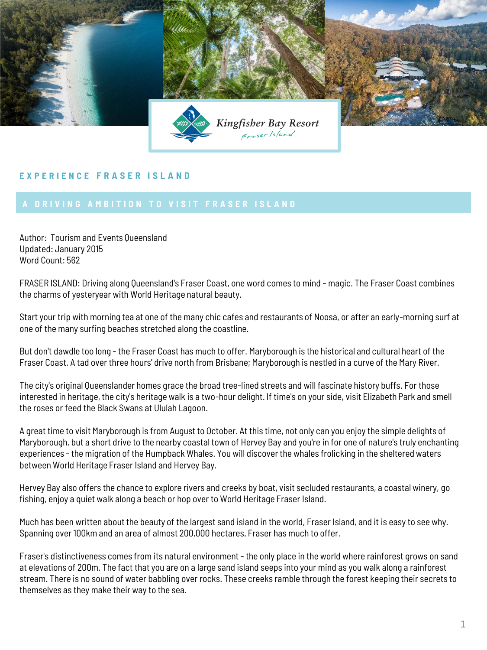

## **E X P E R I E N C E F R A S E R I S L A N D**

Author: Tourism and Events Queensland Updated: January 2015 Word Count: 562

FRASER ISLAND: Driving along Queensland's Fraser Coast, one word comes to mind - magic. The Fraser Coast combines the charms of yesteryear with World Heritage natural beauty.

Start your trip with morning tea at one of the many chic cafes and restaurants of Noosa, or after an early-morning surf at one of the many surfing beaches stretched along the coastline.

But don't dawdle too long - the Fraser Coast has much to offer. Maryborough is the historical and cultural heart of the Fraser Coast. A tad over three hours' drive north from Brisbane; Maryborough is nestled in a curve of the Mary River.

The city's original Queenslander homes grace the broad tree-lined streets and will fascinate history buffs. For those interested in heritage, the city's heritage walk is a two-hour delight. If time's on your side, visit Elizabeth Park and smell the roses or feed the Black Swans at Ululah Lagoon.

A great time to visit Maryborough is from August to October. At this time, not only can you enjoy the simple delights of Maryborough, but a short drive to the nearby coastal town of Hervey Bay and you're in for one of nature's truly enchanting experiences - the migration of the Humpback Whales. You will discover the whales frolicking in the sheltered waters between World Heritage Fraser Island and Hervey Bay.

Hervey Bay also offers the chance to explore rivers and creeks by boat, visit secluded restaurants, a coastal winery, go fishing, enjoy a quiet walk along a beach or hop over to World Heritage Fraser Island.

Much has been written about the beauty of the largest sand island in the world, Fraser Island, and it is easy to see why. Spanning over 100km and an area of almost 200,000 hectares, Fraser has much to offer.

Fraser's distinctiveness comes from its natural environment - the only place in the world where rainforest grows on sand at elevations of 200m. The fact that you are on a large sand island seeps into your mind as you walk along a rainforest stream. There is no sound of water babbling over rocks. These creeks ramble through the forest keeping their secrets to themselves as they make their way to the sea.